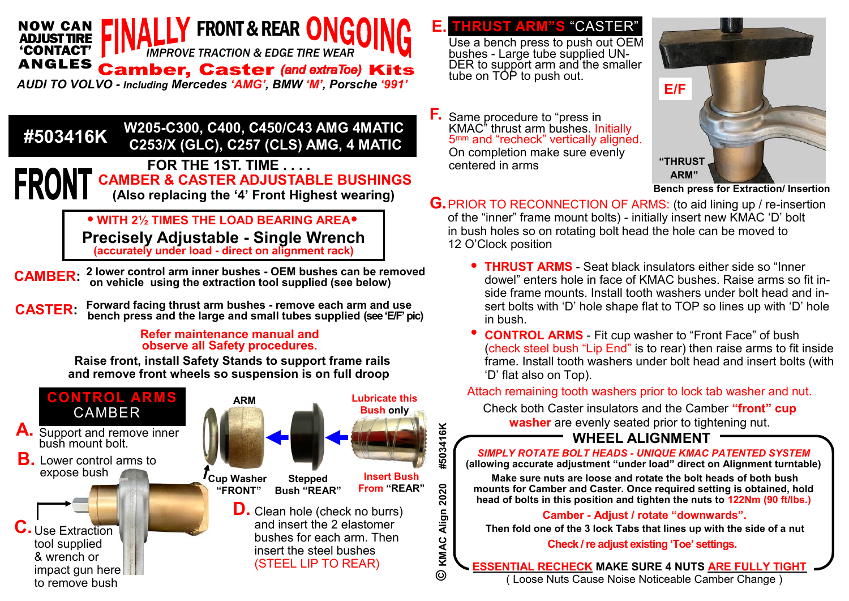#### FRONT & REAR O *IMPROVE TRACTION & EDGE TIRE WEAR* NOW CAN ADJUST TIRE 'CONTACT' **Camber, Caster (and extraToe) Kits**

*AUDI TO VOLVO - Including Mercedes "AMG", BMW "M", Porsche "991"*

 **W205-C300, C400, C450/C43 AMG 4MATIC C253/X (GLC), C257 (CLS) AMG, 4 MATIC #503416K** 

### **FOR THE 1ST. TIME . . . . CAMBER & CASTER ADJUSTABLE BUSHINGS (Also replacing the "4" Front Highest wearing)**

• **WITH 2½ TIMES THE LOAD BEARING AREA**• **Precisely Adjustable - Single Wrench (accurately under load - direct on alignment rack)**

- **CAMBER:** <sup>2</sup> lower control arm inner bushes OEM bushes can be removed **CAMBER:**  $\overline{a}$  on vehicle using the extraction tool supplied (see below)  **on vehicle using the extraction tool supplied (see below)**
- **Forward facing thrust arm bushes - remove each arm and use bench press and the large and small tubes supplied (see "E/F" pic) CASTER:**

#### **Refer maintenance manual and observe all Safety procedures.**

**Raise front, install Safety Stands to support frame rails and remove front wheels so suspension is on full droop**



Use a bench press to push out OEM bushes - Large tube supplied UN-DER to support arm and the smaller tube on TOP to push out. **E. THRUST ARM"S** "CASTER"

Same procedure to "press in KMAC" thrust arm bushes. Initially 5mm and "recheck" vertically aligned. On completion make sure evenly centered in arms **F.**



**Bench press for Extraction/ Insertion**

- **G.** PRIOR TO RECONNECTION OF ARMS: (to aid lining up / re-insertion of the "inner" frame mount bolts) - initially insert new KMAC "D" bolt in bush holes so on rotating bolt head the hole can be moved to 12 O"Clock position
	- **THRUST ARMS** Seat black insulators either side so "Inner dowel" enters hole in face of KMAC bushes. Raise arms so fit inside frame mounts. Install tooth washers under bolt head and insert bolts with 'D' hole shape flat to TOP so lines up with 'D' hole in bush.
	- **CONTROL ARMS**  Fit cup washer to "Front Face" of bush (check steel bush "Lip End" is to rear) then raise arms to fit inside frame. Install tooth washers under bolt head and insert bolts (with "D" flat also on Top). •

Attach remaining tooth washers prior to lock tab washer and nut.

Check both Caster insulators and the Camber **"front" cup washer** are evenly seated prior to tightening nut.

## **WHEEL ALIGNMENT**

*SIMPLY ROTATE BOLT HEADS - UNIQUE KMAC PATENTED SYSTEM* **(allowing accurate adjustment "under load" direct on Alignment turntable)**

**Make sure nuts are loose and rotate the bolt heads of both bush mounts for Camber and Caster. Once required setting is obtained, hold head of bolts in this position and tighten the nuts to 122Nm (90 ft/lbs.)**

#### **Camber - Adjust / rotate "downwards".**

**Then fold one of the 3 lock Tabs that lines up with the side of a nut** 

**Check / re adjust existing "Toe" settings.**

**ESSENTIAL RECHECK MAKE SURE 4 NUTS ARE FULLY TIGHT** ( Loose Nuts Cause Noise Noticeable Camber Change )